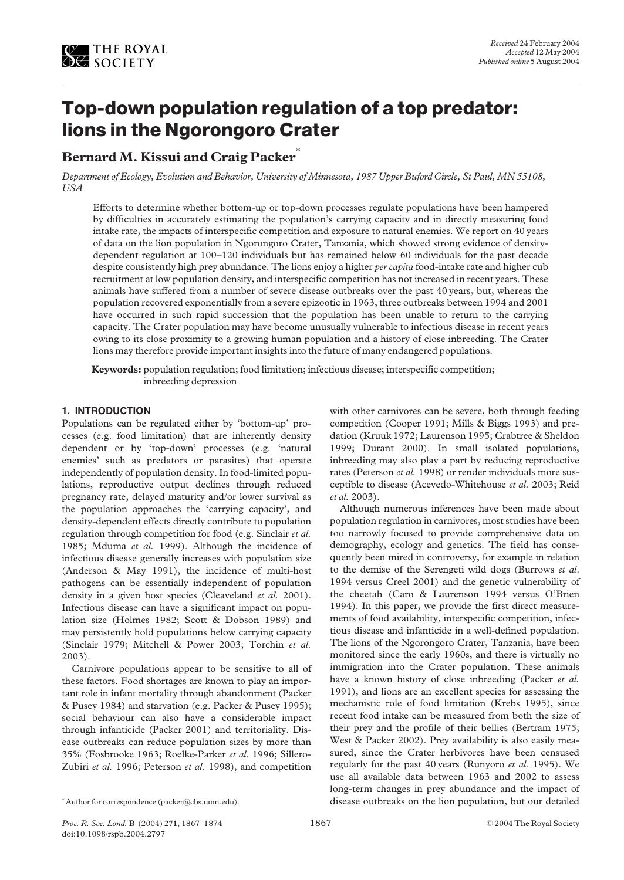

# Top-down population regulation of a top predator: lions in the Ngorongoro Crater

# Bernard M. Kissui and Craig Packer

Department of Ecology, Evolution and Behavior, University of Minnesota, 1987 Upper Buford Circle, St Paul, MN 55108, USA

Efforts to determine whether bottom-up or top-down processes regulate populations have been hampered by difficulties in accurately estimating the population's carrying capacity and in directly measuring food intake rate, the impacts of interspecific competition and exposure to natural enemies. We report on 40 years of data on the lion population in Ngorongoro Crater, Tanzania, which showed strong evidence of densitydependent regulation at 100–120 individuals but has remained below 60 individuals for the past decade despite consistently high prey abundance. The lions enjoy a higher per capita food-intake rate and higher cub recruitment at low population density, and interspecific competition has not increased in recent years. These animals have suffered from a number of severe disease outbreaks over the past 40 years, but, whereas the population recovered exponentially from a severe epizootic in 1963, three outbreaks between 1994 and 2001 have occurred in such rapid succession that the population has been unable to return to the carrying capacity. The Crater population may have become unusually vulnerable to infectious disease in recent years owing to its close proximity to a growing human population and a history of close inbreeding. The Crater lions may therefore provide important insights into the future of many endangered populations.

Keywords: population regulation; food limitation; infectious disease; interspecific competition; inbreeding depression

## 1. INTRODUCTION

Populations can be regulated either by 'bottom-up' processes (e.g. food limitation) that are inherently density dependent or by 'top-down' processes (e.g. 'natural enemies' such as predators or parasites) that operate independently of population density. In food-limited populations, reproductive output declines through reduced pregnancy rate, delayed maturity and/or lower survival as the population approaches the 'carrying capacity', and density-dependent effects directly contribute to population regulation through competition for food (e.g. Sinclair et al. 1985; Mduma et al. 1999). Although the incidence of infectious disease generally increases with population size (Anderson & May 1991), the incidence of multi-host pathogens can be essentially independent of population density in a given host species (Cleaveland et al. 2001). Infectious disease can have a significant impact on population size (Holmes 1982; Scott & Dobson 1989) and may persistently hold populations below carrying capacity (Sinclair 1979; Mitchell & Power 2003; Torchin et al. 2003).

Carnivore populations appear to be sensitive to all of these factors. Food shortages are known to play an important role in infant mortality through abandonment (Packer & Pusey 1984) and starvation (e.g. Packer & Pusey 1995); social behaviour can also have a considerable impact through infanticide (Packer 2001) and territoriality. Disease outbreaks can reduce population sizes by more than 35% (Fosbrooke 1963; Roelke-Parker et al. 1996; Sillero-Zubiri et al. 1996; Peterson et al. 1998), and competition

with other carnivores can be severe, both through feeding competition (Cooper 1991; Mills & Biggs 1993) and predation (Kruuk 1972; Laurenson 1995; Crabtree & Sheldon 1999; Durant 2000). In small isolated populations, inbreeding may also play a part by reducing reproductive rates (Peterson et al. 1998) or render individuals more susceptible to disease (Acevedo-Whitehouse et al. 2003; Reid et al. 2003).

Although numerous inferences have been made about population regulation in carnivores, most studies have been too narrowly focused to provide comprehensive data on demography, ecology and genetics. The field has consequently been mired in controversy, for example in relation to the demise of the Serengeti wild dogs (Burrows et al. 1994 versus Creel 2001) and the genetic vulnerability of the cheetah (Caro & Laurenson 1994 versus O'Brien 1994). In this paper, we provide the first direct measurements of food availability, interspecific competition, infectious disease and infanticide in a well-defined population. The lions of the Ngorongoro Crater, Tanzania, have been monitored since the early 1960s, and there is virtually no immigration into the Crater population. These animals have a known history of close inbreeding (Packer *et al.* 1991), and lions are an excellent species for assessing the mechanistic role of food limitation (Krebs 1995), since recent food intake can be measured from both the size of their prey and the profile of their bellies (Bertram 1975; West & Packer 2002). Prey availability is also easily measured, since the Crater herbivores have been censused regularly for the past 40 years (Runyoro et al. 1995). We use all available data between 1963 and 2002 to assess long-term changes in prey abundance and the impact of \*Author for correspondence (packer@cbs.umn.edu). disease outbreaks on the lion population, but our detailed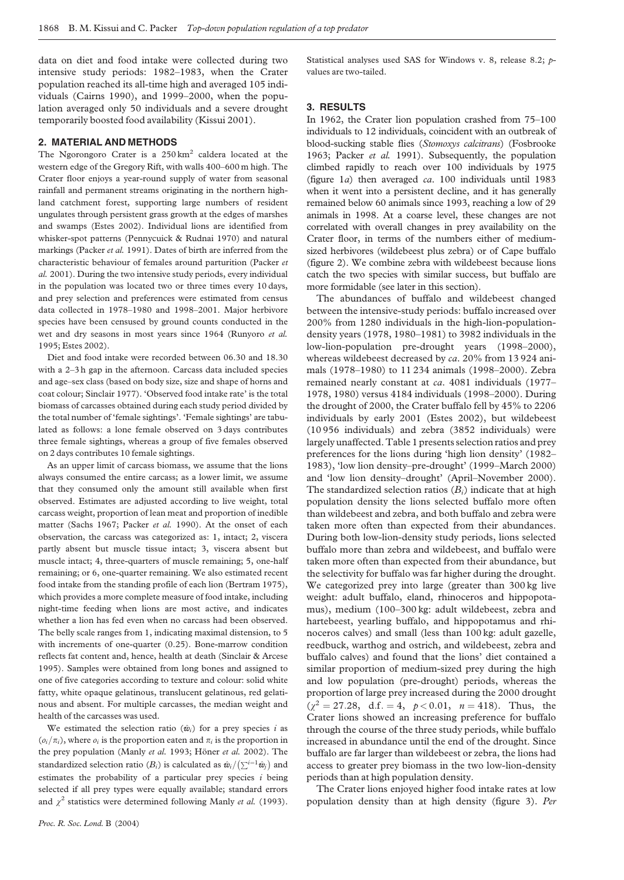data on diet and food intake were collected during two intensive study periods: 1982–1983, when the Crater population reached its all-time high and averaged 105 individuals (Cairns 1990), and 1999–2000, when the population averaged only 50 individuals and a severe drought temporarily boosted food availability (Kissui 2001).

### 2. MATERIAL AND METHODS

The Ngorongoro Crater is a  $250 \text{ km}^2$  caldera located at the western edge of the Gregory Rift, with walls 400–600 m high. The Crater floor enjoys a year-round supply of water from seasonal rainfall and permanent streams originating in the northern highland catchment forest, supporting large numbers of resident ungulates through persistent grass growth at the edges of marshes and swamps (Estes 2002). Individual lions are identified from whisker-spot patterns (Pennycuick & Rudnai 1970) and natural markings (Packer et al. 1991). Dates of birth are inferred from the characteristic behaviour of females around parturition (Packer et al. 2001). During the two intensive study periods, every individual in the population was located two or three times every 10 days, and prey selection and preferences were estimated from census data collected in 1978–1980 and 1998–2001. Major herbivore species have been censused by ground counts conducted in the wet and dry seasons in most years since 1964 (Runyoro et al. 1995; Estes 2002).

Diet and food intake were recorded between 06.30 and 18.30 with a 2–3 h gap in the afternoon. Carcass data included species and age–sex class (based on body size, size and shape of horns and coat colour; Sinclair 1977). 'Observed food intake rate' is the total biomass of carcasses obtained during each study period divided by the total number of 'female sightings'. 'Female sightings' are tabulated as follows: a lone female observed on 3 days contributes three female sightings, whereas a group of five females observed on 2 days contributes 10 female sightings.

As an upper limit of carcass biomass, we assume that the lions always consumed the entire carcass; as a lower limit, we assume that they consumed only the amount still available when first observed. Estimates are adjusted according to live weight, total carcass weight, proportion of lean meat and proportion of inedible matter (Sachs 1967; Packer et al. 1990). At the onset of each observation, the carcass was categorized as: 1, intact; 2, viscera partly absent but muscle tissue intact; 3, viscera absent but muscle intact; 4, three-quarters of muscle remaining; 5, one-half remaining; or 6, one-quarter remaining. We also estimated recent food intake from the standing profile of each lion (Bertram 1975), which provides a more complete measure of food intake, including night-time feeding when lions are most active, and indicates whether a lion has fed even when no carcass had been observed. The belly scale ranges from 1, indicating maximal distension, to 5 with increments of one-quarter (0.25). Bone-marrow condition reflects fat content and, hence, health at death (Sinclair & Arcese 1995). Samples were obtained from long bones and assigned to one of five categories according to texture and colour: solid white fatty, white opaque gelatinous, translucent gelatinous, red gelatinous and absent. For multiple carcasses, the median weight and health of the carcasses was used.

We estimated the selection ratio  $(\hat{w}_i)$  for a prey species i as  $(o_i/\pi_i)$ , where  $o_i$  is the proportion eaten and  $\pi_i$  is the proportion in the prey population (Manly et al. 1993; Höner et al. 2002). The standardized selection ratio  $(B_i)$  is calculated as  $\hat{w}_i/(\sum_{i=1}^{i-1}\hat{w}_i)$  and estimates the probability of a particular prey species  $i$  being selected if all prey types were equally available; standard errors and  $\chi^2$  statistics were determined following Manly *et al.* (1993). Statistical analyses used SAS for Windows v. 8, release 8.2; pvalues are two-tailed.

#### 3. RESULTS

In 1962, the Crater lion population crashed from 75–100 individuals to 12 individuals, coincident with an outbreak of blood-sucking stable flies (Stomoxys calcitrans) (Fosbrooke 1963; Packer et al. 1991). Subsequently, the population climbed rapidly to reach over 100 individuals by 1975 [\(figure 1](#page-2-0)a) then averaged ca. 100 individuals until 1983 when it went into a persistent decline, and it has generally remained below 60 animals since 1993, reaching a low of 29 animals in 1998. At a coarse level, these changes are not correlated with overall changes in prey availability on the Crater floor, in terms of the numbers either of mediumsized herbivores (wildebeest plus zebra) or of Cape buffalo [\(figure 2](#page-3-0)). We combine zebra with wildebeest because lions catch the two species with similar success, but buffalo are more formidable (see later in this section).

The abundances of buffalo and wildebeest changed between the intensive-study periods: buffalo increased over 200% from 1280 individuals in the high-lion-populationdensity years (1978, 1980–1981) to 3982 individuals in the low-lion-population pre-drought years (1998–2000), whereas wildebeest decreased by ca. 20% from 13 924 animals (1978–1980) to 11 234 animals (1998–2000). Zebra remained nearly constant at ca. 4081 individuals (1977– 1978, 1980) versus 4184 individuals (1998–2000). During the drought of 2000, the Crater buffalo fell by 45% to 2206 individuals by early 2001 (Estes 2002), but wildebeest (10 956 individuals) and zebra (3852 individuals) were largely unaffected. [Table 1](#page-3-0) presents selection ratios and prey preferences for the lions during 'high lion density' (1982– 1983), 'low lion density–pre-drought' (1999–March 2000) and 'low lion density–drought' (April–November 2000). The standardized selection ratios  $(B_i)$  indicate that at high population density the lions selected buffalo more often than wildebeest and zebra, and both buffalo and zebra were taken more often than expected from their abundances. During both low-lion-density study periods, lions selected buffalo more than zebra and wildebeest, and buffalo were taken more often than expected from their abundance, but the selectivity for buffalo was far higher during the drought. We categorized prey into large (greater than 300 kg live weight: adult buffalo, eland, rhinoceros and hippopotamus), medium (100–300 kg: adult wildebeest, zebra and hartebeest, yearling buffalo, and hippopotamus and rhinoceros calves) and small (less than 100 kg: adult gazelle, reedbuck, warthog and ostrich, and wildebeest, zebra and buffalo calves) and found that the lions' diet contained a similar proportion of medium-sized prey during the high and low population (pre-drought) periods, whereas the proportion of large prey increased during the 2000 drought  $(\chi^2 = 27.28, d.f. = 4, p < 0.01, n = 418)$ . Thus, the Crater lions showed an increasing preference for buffalo through the course of the three study periods, while buffalo increased in abundance until the end of the drought. Since buffalo are far larger than wildebeest or zebra, the lions had access to greater prey biomass in the two low-lion-density periods than at high population density.

The Crater lions enjoyed higher food intake rates at low population density than at high density ([figure 3\)](#page-4-0). Per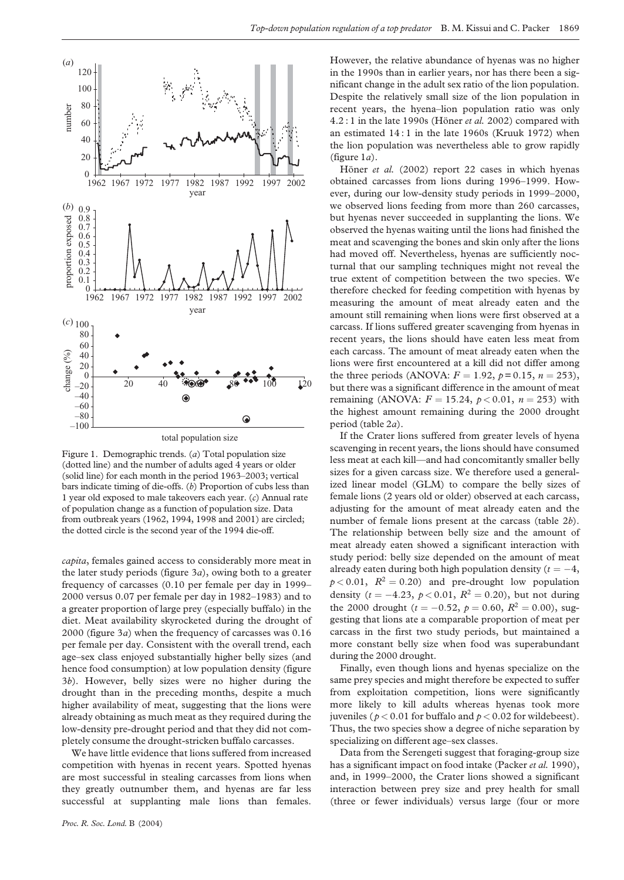<span id="page-2-0"></span>

Figure 1. Demographic trends. (a) Total population size (dotted line) and the number of adults aged 4 years or older (solid line) for each month in the period 1963–2003; vertical bars indicate timing of die-offs. (b) Proportion of cubs less than 1 year old exposed to male takeovers each year. (c) Annual rate of population change as a function of population size. Data from outbreak years (1962, 1994, 1998 and 2001) are circled; the dotted circle is the second year of the 1994 die-off.

capita, females gained access to considerably more meat in the later study periods [\(figure 3](#page-4-0)a), owing both to a greater frequency of carcasses (0.10 per female per day in 1999– 2000 versus 0.07 per female per day in 1982–1983) and to a greater proportion of large prey (especially buffalo) in the diet. Meat availability skyrocketed during the drought of 2000 (figure  $3a$ ) when the frequency of carcasses was  $0.16$ per female per day. Consistent with the overall trend, each age–sex class enjoyed substantially higher belly sizes (and hence food consumption) at low population density ([figure](#page-4-0) [3](#page-4-0)b). However, belly sizes were no higher during the drought than in the preceding months, despite a much higher availability of meat, suggesting that the lions were already obtaining as much meat as they required during the low-density pre-drought period and that they did not completely consume the drought-stricken buffalo carcasses.

We have little evidence that lions suffered from increased competition with hyenas in recent years. Spotted hyenas are most successful in stealing carcasses from lions when they greatly outnumber them, and hyenas are far less successful at supplanting male lions than females. However, the relative abundance of hyenas was no higher in the 1990s than in earlier years, nor has there been a significant change in the adult sex ratio of the lion population. Despite the relatively small size of the lion population in recent years, the hyena–lion population ratio was only  $4.2:1$  in the late 1990s (Höner et al. 2002) compared with an estimated 14 : 1 in the late 1960s (Kruuk 1972) when the lion population was nevertheless able to grow rapidly (figure  $1a$ ).

Höner et al. (2002) report 22 cases in which hyenas obtained carcasses from lions during 1996–1999. However, during our low-density study periods in 1999–2000, we observed lions feeding from more than 260 carcasses, but hyenas never succeeded in supplanting the lions. We observed the hyenas waiting until the lions had finished the meat and scavenging the bones and skin only after the lions had moved off. Nevertheless, hyenas are sufficiently nocturnal that our sampling techniques might not reveal the true extent of competition between the two species. We therefore checked for feeding competition with hyenas by measuring the amount of meat already eaten and the amount still remaining when lions were first observed at a carcass. If lions suffered greater scavenging from hyenas in recent years, the lions should have eaten less meat from each carcass. The amount of meat already eaten when the lions were first encountered at a kill did not differ among the three periods (ANOVA:  $F = 1.92$ ,  $p = 0.15$ ,  $n = 253$ ), but there was a significant difference in the amount of meat remaining (ANOVA:  $F = 15.24$ ,  $p < 0.01$ ,  $n = 253$ ) with the highest amount remaining during the 2000 drought period [\(table 2](#page-3-0)a).

If the Crater lions suffered from greater levels of hyena scavenging in recent years, the lions should have consumed less meat at each kill—and had concomitantly smaller belly sizes for a given carcass size. We therefore used a generalized linear model (GLM) to compare the belly sizes of female lions (2 years old or older) observed at each carcass, adjusting for the amount of meat already eaten and the number of female lions present at the carcass ([table 2](#page-3-0)b). The relationship between belly size and the amount of meat already eaten showed a significant interaction with study period: belly size depended on the amount of meat already eaten during both high population density ( $t = -4$ ,  $p < 0.01$ ,  $R^2 = 0.20$ ) and pre-drought low population density ( $t = -4.23$ ,  $p < 0.01$ ,  $R^2 = 0.20$ ), but not during the 2000 drought ( $t = -0.52$ ,  $p = 0.60$ ,  $R^2 = 0.00$ ), suggesting that lions ate a comparable proportion of meat per carcass in the first two study periods, but maintained a more constant belly size when food was superabundant during the 2000 drought.

Finally, even though lions and hyenas specialize on the same prey species and might therefore be expected to suffer from exploitation competition, lions were significantly more likely to kill adults whereas hyenas took more juveniles ( $p < 0.01$  for buffalo and  $p < 0.02$  for wildebeest). Thus, the two species show a degree of niche separation by specializing on different age–sex classes.

Data from the Serengeti suggest that foraging-group size has a significant impact on food intake (Packer et al. 1990), and, in 1999–2000, the Crater lions showed a significant interaction between prey size and prey health for small (three or fewer individuals) versus large (four or more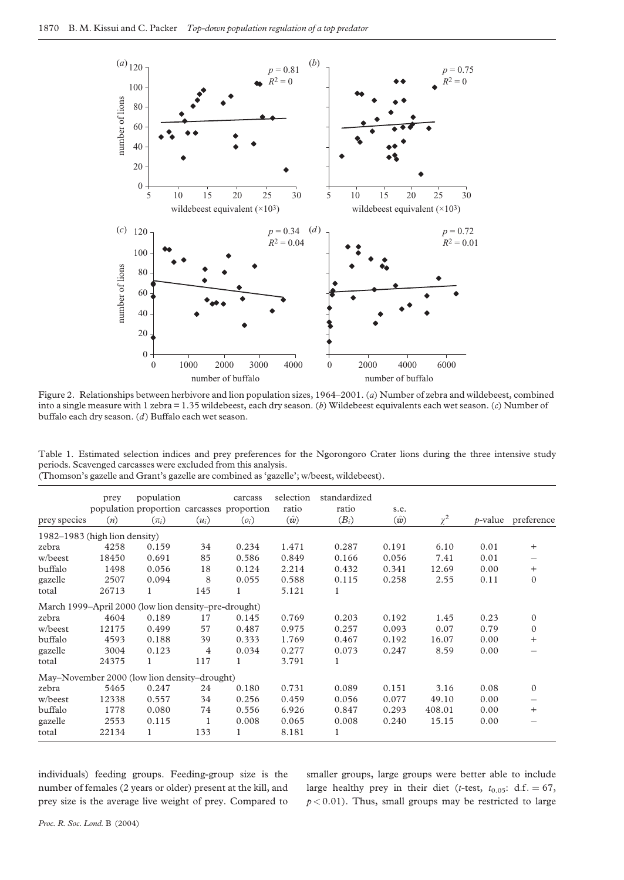<span id="page-3-0"></span>

Figure 2. Relationships between herbivore and lion population sizes, 1964–2001. (a) Number of zebra and wildebeest, combined into a single measure with 1 zebra = 1.35 wildebeest, each dry season. (b) Wildebeest equivalents each wet season. (c) Number of buffalo each dry season. (d) Buffalo each wet season.

|                                                                |  |  |  | Table 1. Estimated selection indices and prey preferences for the Ngorongoro Crater lions during the three intensive study |  |  |  |
|----------------------------------------------------------------|--|--|--|----------------------------------------------------------------------------------------------------------------------------|--|--|--|
| periods. Scavenged carcasses were excluded from this analysis. |  |  |  |                                                                                                                            |  |  |  |
|                                                                |  |  |  |                                                                                                                            |  |  |  |

|                               | prey  | population                                           |                | carcass | selection   | standardized |             |          |      |                       |
|-------------------------------|-------|------------------------------------------------------|----------------|---------|-------------|--------------|-------------|----------|------|-----------------------|
|                               |       | population proportion carcasses proportion           |                |         | ratio       | ratio        | s.e.        |          |      |                       |
| prey species                  | (n)   | $(\pi_i)$                                            | $(u_i)$        | $(o_i)$ | $(\hat{w})$ | $(B_i)$      | $(\hat{w})$ | $\chi^2$ |      | $p$ -value preference |
| 1982–1983 (high lion density) |       |                                                      |                |         |             |              |             |          |      |                       |
| zebra                         | 4258  | 0.159                                                | 34             | 0.234   | 1.471       | 0.287        | 0.191       | 6.10     | 0.01 | $\ddot{}$             |
| w/beest                       | 18450 | 0.691                                                | 85             | 0.586   | 0.849       | 0.166        | 0.056       | 7.41     | 0.01 |                       |
| buffalo                       | 1498  | 0.056                                                | 18             | 0.124   | 2.214       | 0.432        | 0.341       | 12.69    | 0.00 | $\ddot{}$             |
| gazelle                       | 2507  | 0.094                                                | 8              | 0.055   | 0.588       | 0.115        | 0.258       | 2.55     | 0.11 | $\mathbf{0}$          |
| total                         | 26713 | 1                                                    | 145            | 1       | 5.121       | 1            |             |          |      |                       |
|                               |       | March 1999–April 2000 (low lion density–pre-drought) |                |         |             |              |             |          |      |                       |
| zebra                         | 4604  | 0.189                                                | 17             | 0.145   | 0.769       | 0.203        | 0.192       | 1.45     | 0.23 | $\mathbf{0}$          |
| w/beest                       | 12175 | 0.499                                                | 57             | 0.487   | 0.975       | 0.257        | 0.093       | 0.07     | 0.79 | $\Omega$              |
| buffalo                       | 4593  | 0.188                                                | 39             | 0.333   | 1.769       | 0.467        | 0.192       | 16.07    | 0.00 | $\ddot{}$             |
| gazelle                       | 3004  | 0.123                                                | $\overline{4}$ | 0.034   | 0.277       | 0.073        | 0.247       | 8.59     | 0.00 |                       |
| total                         | 24375 | 1                                                    | 117            |         | 3.791       | 1            |             |          |      |                       |
|                               |       | May-November 2000 (low lion density-drought)         |                |         |             |              |             |          |      |                       |
| zebra                         | 5465  | 0.247                                                | 24             | 0.180   | 0.731       | 0.089        | 0.151       | 3.16     | 0.08 | $\mathbf{0}$          |
| w/beest                       | 12338 | 0.557                                                | 34             | 0.256   | 0.459       | 0.056        | 0.077       | 49.10    | 0.00 |                       |
| buffalo                       | 1778  | 0.080                                                | 74             | 0.556   | 6.926       | 0.847        | 0.293       | 408.01   | 0.00 | $\ddot{}$             |
| gazelle                       | 2553  | 0.115                                                | 1              | 0.008   | 0.065       | 0.008        | 0.240       | 15.15    | 0.00 |                       |
| total                         | 22134 | 1                                                    | 133            |         | 8.181       | 1            |             |          |      |                       |

(Thomson's gazelle and Grant's gazelle are combined as 'gazelle'; w/beest, wildebeest).

individuals) feeding groups. Feeding-group size is the number of females (2 years or older) present at the kill, and prey size is the average live weight of prey. Compared to

smaller groups, large groups were better able to include large healthy prey in their diet (t-test,  $t_{0.05}$ : d.f. = 67,  $p < 0.01$ ). Thus, small groups may be restricted to large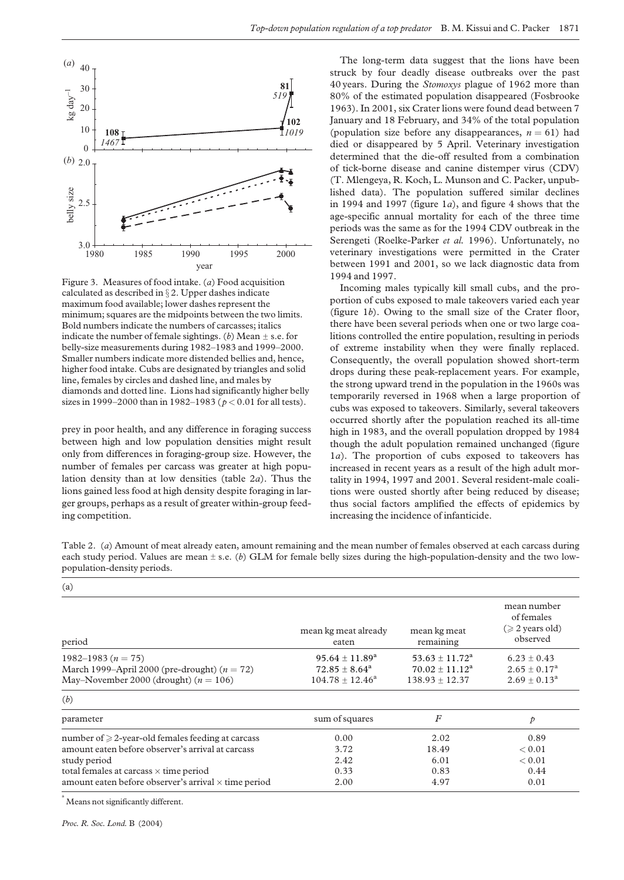<span id="page-4-0"></span>

Figure 3. Measures of food intake. (a) Food acquisition calculated as described in  $\S 2$ . Upper dashes indicate maximum food available; lower dashes represent the minimum; squares are the midpoints between the two limits. Bold numbers indicate the numbers of carcasses; italics indicate the number of female sightings. (b) Mean  $\pm$  s.e. for belly-size measurements during 1982–1983 and 1999–2000. Smaller numbers indicate more distended bellies and, hence, higher food intake. Cubs are designated by triangles and solid line, females by circles and dashed line, and males by diamonds and dotted line. Lions had significantly higher belly sizes in 1999–2000 than in 1982–1983 ( $p < 0.01$  for all tests).

prey in poor health, and any difference in foraging success between high and low population densities might result only from differences in foraging-group size. However, the number of females per carcass was greater at high population density than at low densities (table 2a). Thus the lions gained less food at high density despite foraging in larger groups, perhaps as a result of greater within-group feeding competition.

The long-term data suggest that the lions have been struck by four deadly disease outbreaks over the past 40 years. During the Stomoxys plague of 1962 more than 80% of the estimated population disappeared (Fosbrooke 1963). In 2001, six Crater lions were found dead between 7 January and 18 February, and 34% of the total population (population size before any disappearances,  $n = 61$ ) had died or disappeared by 5 April. Veterinary investigation determined that the die-off resulted from a combination of tick-borne disease and canine distemper virus (CDV) (T. Mlengeya, R. Koch, L. Munson and C. Packer, unpublished data). The population suffered similar declines in 1994 and 1997 (figure  $1a$ ), and [figure 4](#page-5-0) shows that the age-specific annual mortality for each of the three time periods was the same as for the 1994 CDV outbreak in the Serengeti (Roelke-Parker et al. 1996). Unfortunately, no veterinary investigations were permitted in the Crater between 1991 and 2001, so we lack diagnostic data from 1994 and 1997.

Incoming males typically kill small cubs, and the proportion of cubs exposed to male takeovers varied each year ([figure 1](#page-2-0)b). Owing to the small size of the Crater floor, there have been several periods when one or two large coalitions controlled the entire population, resulting in periods of extreme instability when they were finally replaced. Consequently, the overall population showed short-term drops during these peak-replacement years. For example, the strong upward trend in the population in the 1960s was temporarily reversed in 1968 when a large proportion of cubs was exposed to takeovers. Similarly, several takeovers occurred shortly after the population reached its all-time high in 1983, and the overall population dropped by 1984 though the adult population remained unchanged ([figure](#page-2-0) [1](#page-2-0)a). The proportion of cubs exposed to takeovers has increased in recent years as a result of the high adult mortality in 1994, 1997 and 2001. Several resident-male coalitions were ousted shortly after being reduced by disease; thus social factors amplified the effects of epidemics by increasing the incidence of infanticide.

Table 2. (a) Amount of meat already eaten, amount remaining and the mean number of females observed at each carcass during each study period. Values are mean  $\pm$  s.e. (b) GLM for female belly sizes during the high-population-density and the two lowpopulation-density periods.

| (a)                                                         |                               |                           |                                                               |
|-------------------------------------------------------------|-------------------------------|---------------------------|---------------------------------------------------------------|
| period                                                      | mean kg meat already<br>eaten | mean kg meat<br>remaining | mean number<br>of females<br>$(\geq 2$ years old)<br>observed |
| 1982–1983 ( $n = 75$ )                                      | $95.64 \pm 11.89^a$           | $53.63 \pm 11.72^{\rm a}$ | $6.23 \pm 0.43$                                               |
| March 1999–April 2000 (pre-drought) $(n = 72)$              | $72.85 \pm 8.64^a$            | $70.02 + 11.12^a$         | $2.65 \pm 0.17^{\rm a}$                                       |
| May–November 2000 (drought) $(n = 106)$                     | $104.78 + 12.46^a$            | $138.93 \pm 12.37$        | $2.69 \pm 0.13^a$                                             |
| (b)                                                         |                               |                           |                                                               |
| parameter                                                   | sum of squares                | $\boldsymbol{F}$          | p                                                             |
| number of $\geq$ 2-year-old females feeding at carcass      | 0.00                          | 2.02                      | 0.89                                                          |
| amount eaten before observer's arrival at carcass           | 3.72                          | 18.49                     | ${}_{0.01}$                                                   |
| study period                                                | 2.42                          | 6.01                      | ${}_{0.01}$                                                   |
| total females at carcass $\times$ time period               | 0.33                          | 0.83                      | 0.44                                                          |
| amount eaten before observer's arrival $\times$ time period | 2.00                          | 4.97                      | 0.01                                                          |

<sup>a</sup> Means not significantly different.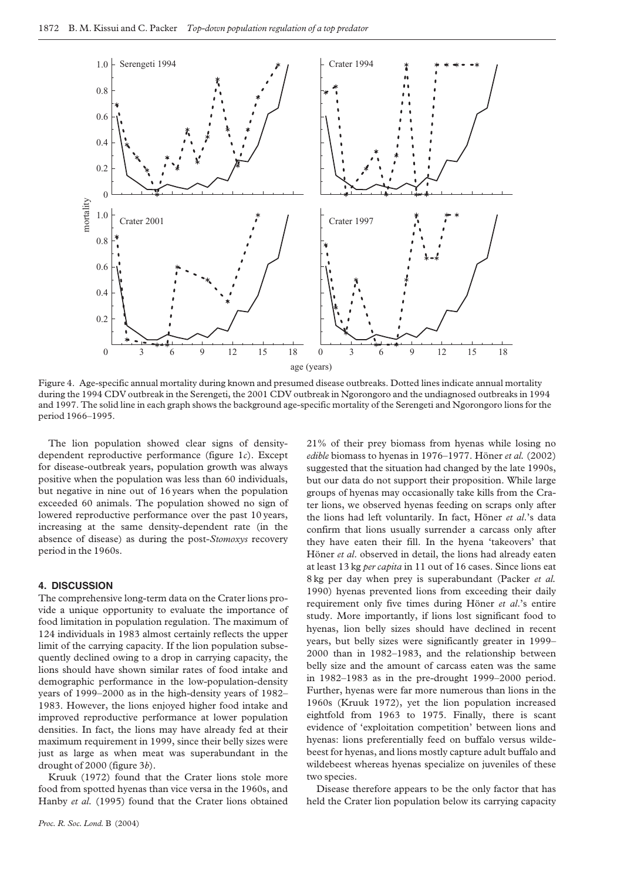<span id="page-5-0"></span>

Figure 4. Age-specific annual mortality during known and presumed disease outbreaks. Dotted lines indicate annual mortality during the 1994 CDV outbreak in the Serengeti, the 2001 CDV outbreak in Ngorongoro and the undiagnosed outbreaks in 1994 and 1997. The solid line in each graph shows the background age-specific mortality of the Serengeti and Ngorongoro lions for the period 1966–1995.

The lion population showed clear signs of densitydependent reproductive performance [\(figure 1](#page-2-0)c). Except for disease-outbreak years, population growth was always positive when the population was less than 60 individuals, but negative in nine out of 16 years when the population exceeded 60 animals. The population showed no sign of lowered reproductive performance over the past 10 years, increasing at the same density-dependent rate (in the absence of disease) as during the post-Stomoxys recovery period in the 1960s.

#### 4. DISCUSSION

The comprehensive long-term data on the Crater lions provide a unique opportunity to evaluate the importance of food limitation in population regulation. The maximum of 124 individuals in 1983 almost certainly reflects the upper limit of the carrying capacity. If the lion population subsequently declined owing to a drop in carrying capacity, the lions should have shown similar rates of food intake and demographic performance in the low-population-density years of 1999–2000 as in the high-density years of 1982– 1983. However, the lions enjoyed higher food intake and improved reproductive performance at lower population densities. In fact, the lions may have already fed at their maximum requirement in 1999, since their belly sizes were just as large as when meat was superabundant in the drought of 2000 ([figure 3](#page-4-0)b).

Kruuk (1972) found that the Crater lions stole more food from spotted hyenas than vice versa in the 1960s, and Hanby et al. (1995) found that the Crater lions obtained

21% of their prey biomass from hyenas while losing no edible biomass to hyenas in 1976–1977. Höner et al. (2002) suggested that the situation had changed by the late 1990s, but our data do not support their proposition. While large groups of hyenas may occasionally take kills from the Crater lions, we observed hyenas feeding on scraps only after the lions had left voluntarily. In fact, Höner et al.'s data confirm that lions usually surrender a carcass only after they have eaten their fill. In the hyena 'takeovers' that Höner et al. observed in detail, the lions had already eaten at least 13 kg per capita in 11 out of 16 cases. Since lions eat 8 kg per day when prey is superabundant (Packer et al. 1990) hyenas prevented lions from exceeding their daily requirement only five times during Höner et al.'s entire study. More importantly, if lions lost significant food to hyenas, lion belly sizes should have declined in recent years, but belly sizes were significantly greater in 1999– 2000 than in 1982–1983, and the relationship between belly size and the amount of carcass eaten was the same in 1982–1983 as in the pre-drought 1999–2000 period. Further, hyenas were far more numerous than lions in the 1960s (Kruuk 1972), yet the lion population increased eightfold from 1963 to 1975. Finally, there is scant evidence of 'exploitation competition' between lions and hyenas: lions preferentially feed on buffalo versus wildebeest for hyenas, and lions mostly capture adult buffalo and wildebeest whereas hyenas specialize on juveniles of these two species.

Disease therefore appears to be the only factor that has held the Crater lion population below its carrying capacity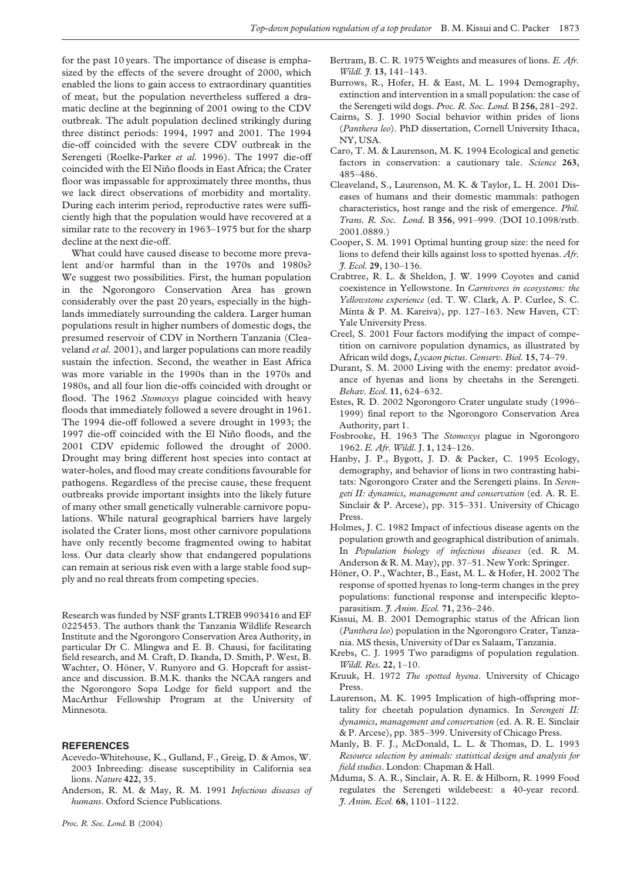for the past 10 years. The importance of disease is emphasized by the effects of the severe drought of 2000, which enabled the lions to gain access to extraordinary quantities of meat, but the population nevertheless suffered a dramatic decline at the beginning of 2001 owing to the CDV outbreak. The adult population declined strikingly during three distinct periods: 1994, 1997 and 2001. The 1994 die-off coincided with the severe CDV outbreak in the Serengeti (Roelke-Parker et al. 1996). The 1997 die-off coincided with the El Niño floods in East Africa; the Crater floor was impassable for approximately three months, thus we lack direct observations of morbidity and mortality. During each interim period, reproductive rates were sufficiently high that the population would have recovered at a similar rate to the recovery in 1963–1975 but for the sharp decline at the next die-off.

What could have caused disease to become more prevalent and/or harmful than in the 1970s and 1980s? We suggest two possibilities. First, the human population in the Ngorongoro Conservation Area has grown considerably over the past 20 years, especially in the highlands immediately surrounding the caldera. Larger human populations result in higher numbers of domestic dogs, the presumed reservoir of CDV in Northern Tanzania (Cleaveland et al. 2001), and larger populations can more readily sustain the infection. Second, the weather in East Africa was more variable in the 1990s than in the 1970s and 1980s, and all four lion die-offs coincided with drought or flood. The 1962 Stomoxys plague coincided with heavy floods that immediately followed a severe drought in 1961. The 1994 die-off followed a severe drought in 1993; the 1997 die-off coincided with the El Niño floods, and the 2001 CDV epidemic followed the drought of 2000. Drought may bring different host species into contact at water-holes, and flood may create conditions favourable for pathogens. Regardless of the precise cause, these frequent outbreaks provide important insights into the likely future of many other small genetically vulnerable carnivore populations. While natural geographical barriers have largely isolated the Crater lions, most other carnivore populations have only recently become fragmented owing to habitat loss. Our data clearly show that endangered populations can remain at serious risk even with a large stable food supply and no real threats from competing species.

Research was funded by NSF grants LTREB 9903416 and EF 0225453. The authors thank the Tanzania Wildlife Research Institute and the Ngorongoro Conservation Area Authority, in particular Dr C. Mlingwa and E. B. Chausi, for facilitating field research, and M. Craft, D. Ikanda, D. Smith, P. West, B. Wachter, O. Höner, V. Runyoro and G. Hopcraft for assistance and discussion. B.M.K. thanks the NCAA rangers and the Ngorongoro Sopa Lodge for field support and the MacArthur Fellowship Program at the University of Minnesota.

#### **REFERENCES**

- Acevedo-Whitehouse, K., Gulland, F., Greig, D. & Amos, W. 2003 Inbreeding: disease susceptibility in California sea lions. Nature 422, 35.
- Anderson, R. M. & May, R. M. 1991 Infectious diseases of humans. Oxford Science Publications.
- Bertram, B. C. R. 1975 Weights and measures of lions. E. Afr. Wildl. 7. 13, 141-143.
- Burrows, R., Hofer, H. & East, M. L. 1994 Demography, extinction and intervention in a small population: the case of the Serengeti wild dogs. Proc. R. Soc. Lond. B 256, 281–292.
- Cairns, S. J. 1990 Social behavior within prides of lions (Panthera leo). PhD dissertation, Cornell University Ithaca, NY, USA.
- Caro, T. M. & Laurenson, M. K. 1994 Ecological and genetic factors in conservation: a cautionary tale. Science 263, 485–486.
- Cleaveland, S., Laurenson, M. K. & Taylor, L. H. 2001 Diseases of humans and their domestic mammals: pathogen characteristics, host range and the risk of emergence. Phil. Trans. R. Soc. Lond. B 356, 991–999. (DOI 10.1098/rstb. 2001.0889.)
- Cooper, S. M. 1991 Optimal hunting group size: the need for lions to defend their kills against loss to spotted hyenas. Afr. J. Ecol. 29, 130–136.
- Crabtree, R. L. & Sheldon, J. W. 1999 Coyotes and canid coexistence in Yellowstone. In Carnivores in ecosystems: the Yellowstone experience (ed. T. W. Clark, A. P. Curlee, S. C. Minta & P. M. Kareiva), pp. 127–163. New Haven, CT: Yale University Press.
- Creel, S. 2001 Four factors modifying the impact of competition on carnivore population dynamics, as illustrated by African wild dogs, Lycaon pictus. Conserv. Biol. 15, 74–79.
- Durant, S. M. 2000 Living with the enemy: predator avoidance of hyenas and lions by cheetahs in the Serengeti. Behav. Ecol. 11, 624–632.
- Estes, R. D. 2002 Ngorongoro Crater ungulate study (1996– 1999) final report to the Ngorongoro Conservation Area Authority, part 1.
- Fosbrooke, H. 1963 The Stomoxys plague in Ngorongoro 1962. E. Afr. Wildl. J. 1, 124–126.
- Hanby, J. P., Bygott, J. D. & Packer, C. 1995 Ecology, demography, and behavior of lions in two contrasting habitats: Ngorongoro Crater and the Serengeti plains. In Serengeti II: dynamics, management and conservation (ed. A. R. E. Sinclair & P. Arcese), pp. 315–331. University of Chicago Press.
- Holmes, J. C. 1982 Impact of infectious disease agents on the population growth and geographical distribution of animals. In Population biology of infectious diseases (ed. R. M. Anderson & R. M. May), pp. 37–51. New York: Springer.
- Höner, O. P., Wachter, B., East, M. L. & Hofer, H. 2002 The response of spotted hyenas to long-term changes in the prey populations: functional response and interspecific kleptoparasitism. *J. Anim. Ecol.* **71**, 236-246.
- Kissui, M. B. 2001 Demographic status of the African lion (Panthera leo) population in the Ngorongoro Crater, Tanzania. MS thesis, University of Dar es Salaam, Tanzania.
- Krebs, C. J. 1995 Two paradigms of population regulation. Wildl. Res. 22, 1–10.
- Kruuk, H. 1972 The spotted hyena. University of Chicago Press.
- Laurenson, M. K. 1995 Implication of high-offspring mortality for cheetah population dynamics. In Serengeti II: dynamics, management and conservation (ed. A. R. E. Sinclair & P. Arcese), pp. 385–399. University of Chicago Press.
- Manly, B. F. J., McDonald, L. L. & Thomas, D. L. 1993 Resource selection by animals: statistical design and analysis for field studies. London: Chapman & Hall.
- Mduma, S. A. R., Sinclair, A. R. E. & Hilborn, R. 1999 Food regulates the Serengeti wildebeest: a 40-year record. J. Anim. Ecol. 68, 1101–1122.